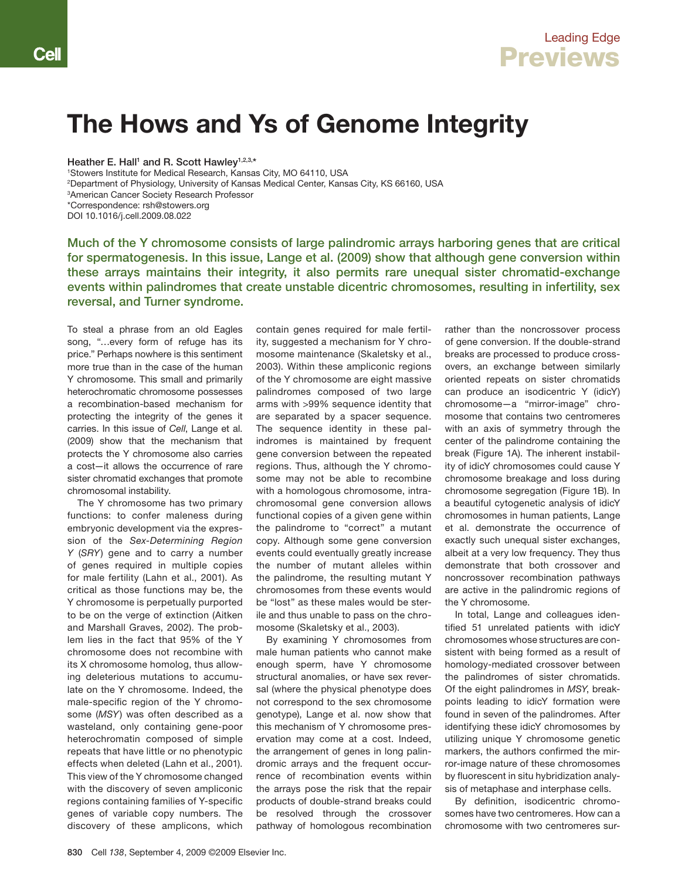# The Hows and Ys of Genome Integrity

Heather E. Hall<sup>1</sup> and R. Scott Hawley<sup>1,2,3,\*</sup>

1 Stowers Institute for Medical Research, Kansas City, MO 64110, USA 2 Department of Physiology, University of Kansas Medical Center, Kansas City, KS 66160, USA 3 American Cancer Society Research Professor \*Correspondence: rsh@stowers.org DOI 10.1016/j.cell.2009.08.022

Much of the Y chromosome consists of large palindromic arrays harboring genes that are critical for spermatogenesis. In this issue, Lange et al. (2009) show that although gene conversion within these arrays maintains their integrity, it also permits rare unequal sister chromatid-exchange events within palindromes that create unstable dicentric chromosomes, resulting in infertility, sex reversal, and Turner syndrome.

To steal a phrase from an old Eagles song, "…every form of refuge has its price." Perhaps nowhere is this sentiment more true than in the case of the human Y chromosome. This small and primarily heterochromatic chromosome possesses a recombination-based mechanism for protecting the integrity of the genes it carries. In this issue of *Cell*, Lange et al. (2009) show that the mechanism that protects the Y chromosome also carries a cost—it allows the occurrence of rare sister chromatid exchanges that promote chromosomal instability.

The Y chromosome has two primary functions: to confer maleness during embryonic development via the expression of the *Sex-Determining Region Y* (*SRY*) gene and to carry a number of genes required in multiple copies for male fertility (Lahn et al., 2001). As critical as those functions may be, the Y chromosome is perpetually purported to be on the verge of extinction (Aitken and Marshall Graves, 2002). The problem lies in the fact that 95% of the Y chromosome does not recombine with its X chromosome homolog, thus allowing deleterious mutations to accumulate on the Y chromosome. Indeed, the male-specific region of the Y chromosome (*MSY*) was often described as a wasteland, only containing gene-poor heterochromatin composed of simple repeats that have little or no phenotypic effects when deleted (Lahn et al., 2001). This view of the Y chromosome changed with the discovery of seven ampliconic regions containing families of Y-specific genes of variable copy numbers. The discovery of these amplicons, which contain genes required for male fertility, suggested a mechanism for Y chromosome maintenance (Skaletsky et al., 2003). Within these ampliconic regions of the Y chromosome are eight massive palindromes composed of two large arms with >99% sequence identity that are separated by a spacer sequence. The sequence identity in these palindromes is maintained by frequent gene conversion between the repeated regions. Thus, although the Y chromosome may not be able to recombine with a homologous chromosome, intrachromosomal gene conversion allows functional copies of a given gene within the palindrome to "correct" a mutant copy. Although some gene conversion events could eventually greatly increase the number of mutant alleles within the palindrome, the resulting mutant Y chromosomes from these events would be "lost" as these males would be sterile and thus unable to pass on the chromosome (Skaletsky et al., 2003).

By examining Y chromosomes from male human patients who cannot make enough sperm, have Y chromosome structural anomalies, or have sex reversal (where the physical phenotype does not correspond to the sex chromosome genotype), Lange et al. now show that this mechanism of Y chromosome preservation may come at a cost. Indeed, the arrangement of genes in long palindromic arrays and the frequent occurrence of recombination events within the arrays pose the risk that the repair products of double-strand breaks could be resolved through the crossover pathway of homologous recombination

rather than the noncrossover process of gene conversion. If the double-strand breaks are processed to produce crossovers, an exchange between similarly oriented repeats on sister chromatids can produce an isodicentric Y (idicY) chromosome—a "mirror-image" chromosome that contains two centromeres with an axis of symmetry through the center of the palindrome containing the break (Figure 1A). The inherent instability of idicY chromosomes could cause Y chromosome breakage and loss during chromosome segregation (Figure 1B). In a beautiful cytogenetic analysis of idicY chromosomes in human patients, Lange et al. demonstrate the occurrence of exactly such unequal sister exchanges, albeit at a very low frequency. They thus demonstrate that both crossover and noncrossover recombination pathways are active in the palindromic regions of the Y chromosome.

In total, Lange and colleagues identified 51 unrelated patients with idicY chromosomes whose structures are consistent with being formed as a result of homology-mediated crossover between the palindromes of sister chromatids. Of the eight palindromes in *MSY*, breakpoints leading to idicY formation were found in seven of the palindromes. After identifying these idicY chromosomes by utilizing unique Y chromosome genetic markers, the authors confirmed the mirror-image nature of these chromosomes by fluorescent in situ hybridization analysis of metaphase and interphase cells.

By definition, isodicentric chromosomes have two centromeres. How can a chromosome with two centromeres sur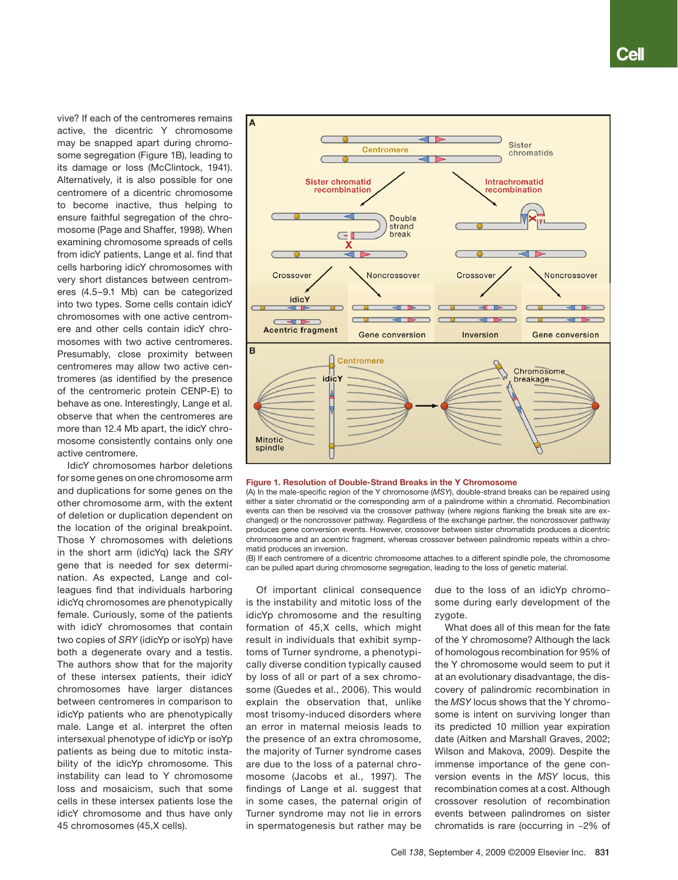vive? If each of the centromeres remains active, the dicentric Y chromosome may be snapped apart during chromosome segregation (Figure 1B), leading to its damage or loss (McClintock, 1941). Alternatively, it is also possible for one centromere of a dicentric chromosome to become inactive, thus helping to ensure faithful segregation of the chromosome (Page and Shaffer, 1998). When examining chromosome spreads of cells from idicY patients, Lange et al. find that cells harboring idicY chromosomes with very short distances between centromeres (4.5–9.1 Mb) can be categorized into two types. Some cells contain idicY chromosomes with one active centromere and other cells contain idicY chromosomes with two active centromeres. Presumably, close proximity between centromeres may allow two active centromeres (as identified by the presence of the centromeric protein CENP-E) to behave as one. Interestingly, Lange et al. observe that when the centromeres are more than 12.4 Mb apart, the idicY chromosome consistently contains only one active centromere.

IdicY chromosomes harbor deletions for some genes on one chromosome arm and duplications for some genes on the other chromosome arm, with the extent of deletion or duplication dependent on the location of the original breakpoint. Those Y chromosomes with deletions in the short arm (idicYq) lack the *SRY* gene that is needed for sex determination. As expected, Lange and colleagues find that individuals harboring idicYq chromosomes are phenotypically female. Curiously, some of the patients with idicY chromosomes that contain two copies of *SRY* (idicYp or isoYp) have both a degenerate ovary and a testis. The authors show that for the majority of these intersex patients, their idicY chromosomes have larger distances between centromeres in comparison to idicYp patients who are phenotypically male. Lange et al. interpret the often intersexual phenotype of idicYp or isoYp patients as being due to mitotic instability of the idicYp chromosome. This instability can lead to Y chromosome loss and mosaicism, such that some cells in these intersex patients lose the idicY chromosome and thus have only 45 chromosomes (45,X cells).



#### Figure 1. Resolution of Double-Strand Breaks in the Y Chromosome

(A) In the male-specific region of the Y chromosome (*MSY*), double-strand breaks can be repaired using either a sister chromatid or the corresponding arm of a palindrome within a chromatid. Recombination events can then be resolved via the crossover pathway (where regions flanking the break site are exchanged) or the noncrossover pathway. Regardless of the exchange partner, the noncrossover pathway produces gene conversion events. However, crossover between sister chromatids produces a dicentric chromosome and an acentric fragment, whereas crossover between palindromic repeats within a chromatid produces an inversion.

(B) If each centromere of a dicentric chromosome attaches to a different spindle pole, the chromosome can be pulled apart during chromosome segregation, leading to the loss of genetic material.

Of important clinical consequence is the instability and mitotic loss of the idicYp chromosome and the resulting formation of 45,X cells, which might result in individuals that exhibit symptoms of Turner syndrome, a phenotypically diverse condition typically caused by loss of all or part of a sex chromosome (Guedes et al., 2006). This would explain the observation that, unlike most trisomy-induced disorders where an error in maternal meiosis leads to the presence of an extra chromosome, the majority of Turner syndrome cases are due to the loss of a paternal chromosome (Jacobs et al., 1997). The findings of Lange et al. suggest that in some cases, the paternal origin of Turner syndrome may not lie in errors in spermatogenesis but rather may be

due to the loss of an idicYp chromosome during early development of the zygote.

What does all of this mean for the fate of the Y chromosome? Although the lack of homologous recombination for 95% of the Y chromosome would seem to put it at an evolutionary disadvantage, the discovery of palindromic recombination in the *MSY* locus shows that the Y chromosome is intent on surviving longer than its predicted 10 million year expiration date (Aitken and Marshall Graves, 2002; Wilson and Makova, 2009). Despite the immense importance of the gene conversion events in the *MSY* locus, this recombination comes at a cost. Although crossover resolution of recombination events between palindromes on sister chromatids is rare (occurring in ~2% of